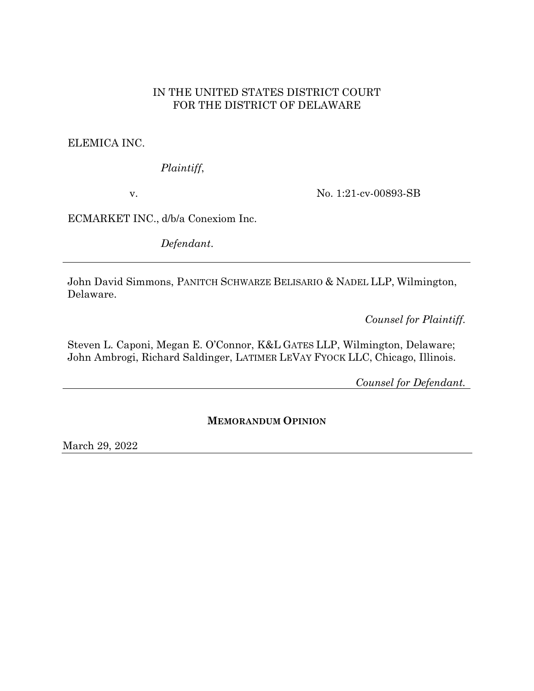# IN THE UNITED STATES DISTRICT COURT FOR THE DISTRICT OF DELAWARE

ELEMICA INC.

*Plaintiff*,

v.

No. 1:21-cv-00893-SB

ECMARKET INC., d/b/a Conexiom Inc.

*Defendant*.

John David Simmons, PANITCH SCHWARZE BELISARIO & NADEL LLP, Wilmington, Delaware.

*Counsel for Plaintiff.*

Steven L. Caponi, Megan E. O'Connor, K&L GATES LLP, Wilmington, Delaware; John Ambrogi, Richard Saldinger, LATIMER LEVAY FYOCK LLC, Chicago, Illinois.

*Counsel for Defendant.*

### **MEMORANDUM OPINION**

March 29, 2022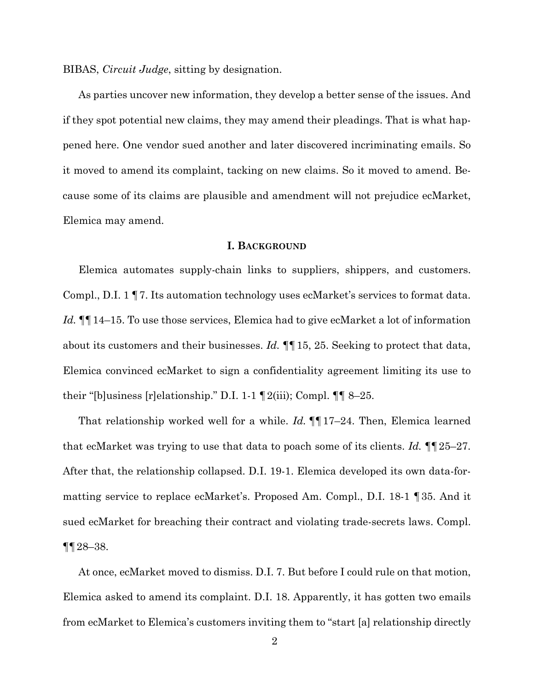BIBAS, *Circuit Judge*, sitting by designation.

As parties uncover new information, they develop a better sense of the issues. And if they spot potential new claims, they may amend their pleadings. That is what happened here. One vendor sued another and later discovered incriminating emails. So it moved to amend its complaint, tacking on new claims. So it moved to amend. Because some of its claims are plausible and amendment will not prejudice ecMarket, Elemica may amend.

### **I. BACKGROUND**

Elemica automates supply-chain links to suppliers, shippers, and customers. Compl., D.I. 1 ¶7. Its automation technology uses ecMarket's services to format data. *Id.* ¶¶14–15. To use those services, Elemica had to give ecMarket a lot of information about its customers and their businesses. *Id.* ¶¶15, 25. Seeking to protect that data, Elemica convinced ecMarket to sign a confidentiality agreement limiting its use to their "[b]usiness [r]elationship." D.I. 1-1  $\P$  2(iii); Compl.  $\P\P$  8–25.

That relationship worked well for a while. *Id.* ¶¶17–24. Then, Elemica learned that ecMarket was trying to use that data to poach some of its clients. *Id.* ¶¶25–27. After that, the relationship collapsed. D.I. 19-1. Elemica developed its own data-formatting service to replace ecMarket's. Proposed Am. Compl., D.I. 18-1 ¶35. And it sued ecMarket for breaching their contract and violating trade-secrets laws. Compl.  $\P\P 28 - 38.$ 

At once, ecMarket moved to dismiss. D.I. 7. But before I could rule on that motion, Elemica asked to amend its complaint. D.I. 18. Apparently, it has gotten two emails from ecMarket to Elemica's customers inviting them to "start [a] relationship directly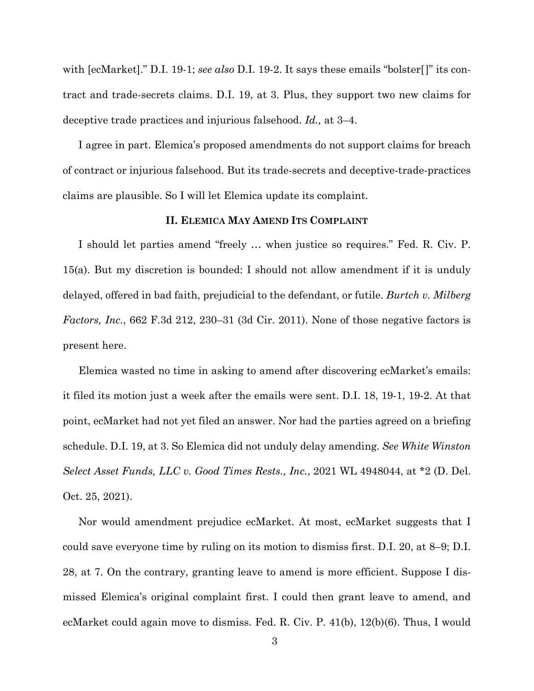with [ecMarket]." D.I. 19-1; *see also* D.I. 19-2. It says these emails "bolster[]" its contract and trade-secrets claims. D.I. 19, at 3. Plus, they support two new claims for deceptive trade practices and injurious falsehood. *Id.,* at 3–4.

I agree in part. Elemica's proposed amendments do not support claims for breach of contract or injurious falsehood. But its trade-secrets and deceptive-trade-practices claims are plausible. So I will let Elemica update its complaint.

#### **II. ELEMICA MAY AMEND ITS COMPLAINT**

I should let parties amend "freely … when justice so requires." Fed. R. Civ. P. 15(a). But my discretion is bounded: I should not allow amendment if it is unduly delayed, offered in bad faith, prejudicial to the defendant, or futile. *Burtch v. Milberg Factors, Inc.*, 662 F.3d 212, 230–31 (3d Cir. 2011). None of those negative factors is present here.

Elemica wasted no time in asking to amend after discovering ecMarket's emails: it filed its motion just a week after the emails were sent. D.I. 18, 19-1, 19-2. At that point, ecMarket had not yet filed an answer. Nor had the parties agreed on a briefing schedule. D.I. 19, at 3. So Elemica did not unduly delay amending. *See White Winston Select Asset Funds, LLC v. Good Times Rests., Inc.*, 2021 WL 4948044, at \*2 (D. Del. Oct. 25, 2021).

Nor would amendment prejudice ecMarket. At most, ecMarket suggests that I could save everyone time by ruling on its motion to dismiss first. D.I. 20, at 8–9; D.I. 28, at 7. On the contrary, granting leave to amend is more efficient. Suppose I dismissed Elemica's original complaint first. I could then grant leave to amend, and ecMarket could again move to dismiss. Fed. R. Civ. P. 41(b), 12(b)(6). Thus, I would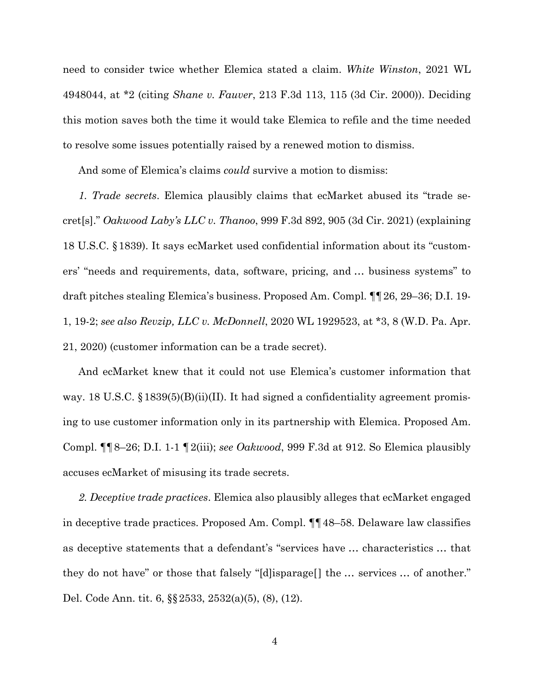need to consider twice whether Elemica stated a claim. *White Winston*, 2021 WL 4948044, at \*2 (citing *Shane v. Fauver*, 213 F.3d 113, 115 (3d Cir. 2000)). Deciding this motion saves both the time it would take Elemica to refile and the time needed to resolve some issues potentially raised by a renewed motion to dismiss.

And some of Elemica's claims *could* survive a motion to dismiss:

*1. Trade secrets*. Elemica plausibly claims that ecMarket abused its "trade secret[s]." *Oakwood Laby's LLC v. Thanoo*, 999 F.3d 892, 905 (3d Cir. 2021) (explaining 18 U.S.C. §1839). It says ecMarket used confidential information about its "customers' "needs and requirements, data, software, pricing, and … business systems" to draft pitches stealing Elemica's business. Proposed Am. Compl. ¶¶26, 29–36; D.I. 19- 1, 19-2; *see also Revzip, LLC v. McDonnell*, 2020 WL 1929523, at \*3, 8 (W.D. Pa. Apr. 21, 2020) (customer information can be a trade secret).

And ecMarket knew that it could not use Elemica's customer information that way. 18 U.S.C. §1839(5)(B)(ii)(II). It had signed a confidentiality agreement promising to use customer information only in its partnership with Elemica. Proposed Am. Compl. ¶¶8–26; D.I. 1-1 ¶2(iii); *see Oakwood*, 999 F.3d at 912. So Elemica plausibly accuses ecMarket of misusing its trade secrets.

*2. Deceptive trade practices*. Elemica also plausibly alleges that ecMarket engaged in deceptive trade practices. Proposed Am. Compl. ¶¶48–58. Delaware law classifies as deceptive statements that a defendant's "services have … characteristics … that they do not have" or those that falsely "[d]isparage[] the … services … of another." Del. Code Ann. tit. 6, §§2533, 2532(a)(5), (8), (12).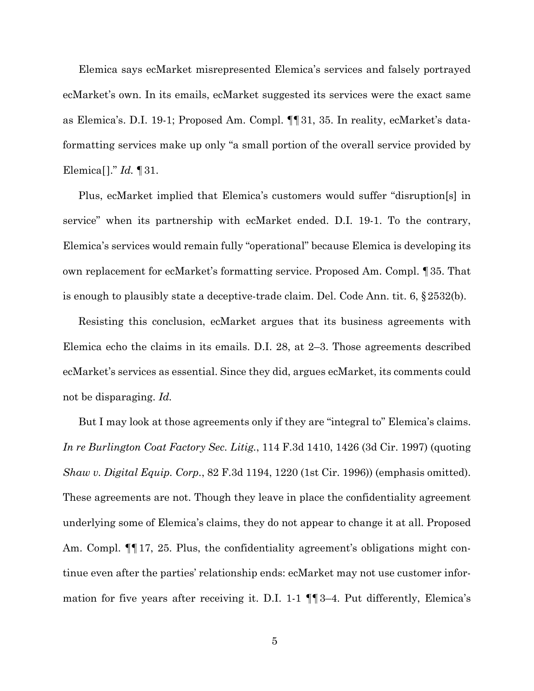Elemica says ecMarket misrepresented Elemica's services and falsely portrayed ecMarket's own. In its emails, ecMarket suggested its services were the exact same as Elemica's. D.I. 19-1; Proposed Am. Compl. ¶¶31, 35. In reality, ecMarket's dataformatting services make up only "a small portion of the overall service provided by Elemica[]." *Id.* ¶31.

Plus, ecMarket implied that Elemica's customers would suffer "disruption[s] in service" when its partnership with ecMarket ended. D.I. 19-1. To the contrary, Elemica's services would remain fully "operational" because Elemica is developing its own replacement for ecMarket's formatting service. Proposed Am. Compl. ¶35. That is enough to plausibly state a deceptive-trade claim. Del. Code Ann. tit. 6, §2532(b).

Resisting this conclusion, ecMarket argues that its business agreements with Elemica echo the claims in its emails. D.I. 28, at 2–3. Those agreements described ecMarket's services as essential. Since they did, argues ecMarket, its comments could not be disparaging. *Id.*

But I may look at those agreements only if they are "integral to" Elemica's claims. *In re Burlington Coat Factory Sec. Litig.*, 114 F.3d 1410, 1426 (3d Cir. 1997) (quoting *Shaw v. Digital Equip. Corp.*, 82 F.3d 1194, 1220 (1st Cir. 1996)) (emphasis omitted). These agreements are not. Though they leave in place the confidentiality agreement underlying some of Elemica's claims, they do not appear to change it at all. Proposed Am. Compl.  $\P$  17, 25. Plus, the confidentiality agreement's obligations might continue even after the parties' relationship ends: ecMarket may not use customer information for five years after receiving it. D.I. 1-1 ¶¶3–4. Put differently, Elemica's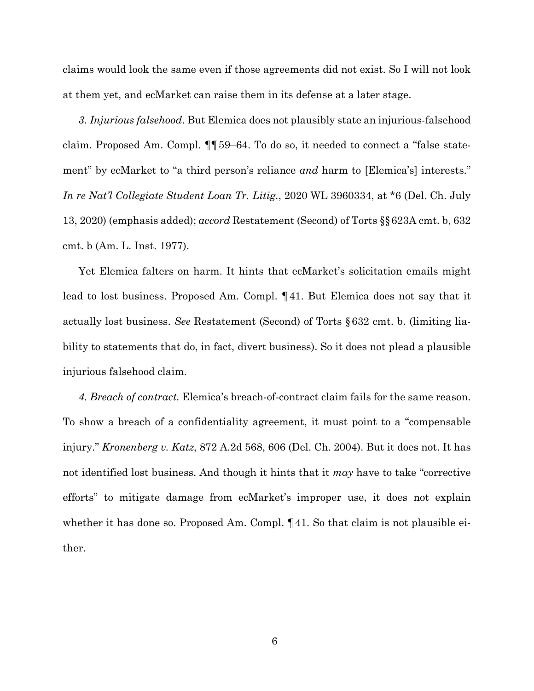claims would look the same even if those agreements did not exist. So I will not look at them yet, and ecMarket can raise them in its defense at a later stage.

*3. Injurious falsehood*. But Elemica does not plausibly state an injurious-falsehood claim. Proposed Am. Compl. ¶¶59–64. To do so, it needed to connect a "false statement" by ecMarket to "a third person's reliance *and* harm to [Elemica's] interests." *In re Nat'l Collegiate Student Loan Tr. Litig.*, 2020 WL 3960334, at \*6 (Del. Ch. July 13, 2020) (emphasis added); *accord* Restatement (Second) of Torts §§623A cmt. b, 632 cmt. b (Am. L. Inst. 1977).

Yet Elemica falters on harm. It hints that ecMarket's solicitation emails might lead to lost business. Proposed Am. Compl. ¶41. But Elemica does not say that it actually lost business. *See* Restatement (Second) of Torts §632 cmt. b. (limiting liability to statements that do, in fact, divert business). So it does not plead a plausible injurious falsehood claim.

*4. Breach of contract.* Elemica's breach-of-contract claim fails for the same reason. To show a breach of a confidentiality agreement, it must point to a "compensable injury." *Kronenberg v. Katz*, 872 A.2d 568, 606 (Del. Ch. 2004). But it does not. It has not identified lost business. And though it hints that it *may* have to take "corrective efforts" to mitigate damage from ecMarket's improper use, it does not explain whether it has done so. Proposed Am. Compl.  $\P$ 41. So that claim is not plausible either.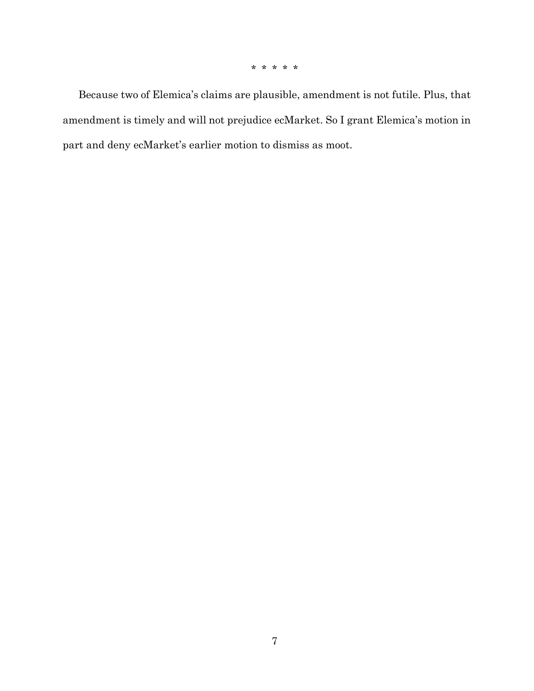\* \* \* \* \*

Because two of Elemica's claims are plausible, amendment is not futile. Plus, that amendment is timely and will not prejudice ecMarket. So I grant Elemica's motion in part and deny ecMarket's earlier motion to dismiss as moot.